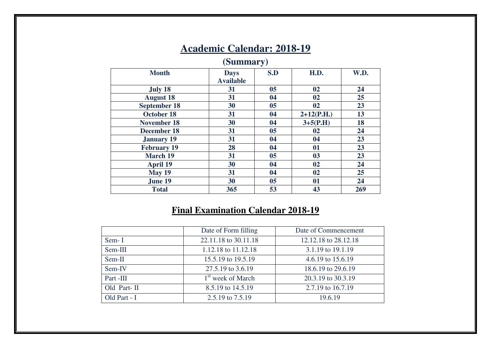| (Summary)           |                                 |                |              |      |  |  |  |  |  |  |
|---------------------|---------------------------------|----------------|--------------|------|--|--|--|--|--|--|
| <b>Month</b>        | <b>Days</b><br><b>Available</b> | S.D            | H.D.         | W.D. |  |  |  |  |  |  |
| July 18             | 31                              | 0 <sub>5</sub> | 02           | 24   |  |  |  |  |  |  |
| <b>August 18</b>    | 31                              | 04             | 02           | 25   |  |  |  |  |  |  |
| <b>September 18</b> | 30                              | 0 <sub>5</sub> | 02           | 23   |  |  |  |  |  |  |
| October 18          | 31                              | 04             | $2+12(P.H.)$ | 13   |  |  |  |  |  |  |
| <b>November 18</b>  | 30                              | 04             | $3+5(P.H)$   | 18   |  |  |  |  |  |  |
| <b>December 18</b>  | 31                              | 0 <sub>5</sub> | 02           | 24   |  |  |  |  |  |  |
| <b>January 19</b>   | 31                              | 04             | 04           | 23   |  |  |  |  |  |  |
| <b>February 19</b>  | 28                              | 04             | 01           | 23   |  |  |  |  |  |  |
| <b>March 19</b>     | 31                              | 0 <sub>5</sub> | 03           | 23   |  |  |  |  |  |  |
| <b>April 19</b>     | 30                              | 04             | 02           | 24   |  |  |  |  |  |  |
| May 19              | 31                              | 04             | 02           | 25   |  |  |  |  |  |  |
| June 19             | 30                              | 0 <sub>5</sub> | 01           | 24   |  |  |  |  |  |  |
| <b>Total</b>        | 365                             | 53             | 43           | 269  |  |  |  |  |  |  |

# **Academic Calendar: 2018-19**

### **Final Examination Calendar 2018-19**

|              | Date of Form filling          | Date of Commencement |
|--------------|-------------------------------|----------------------|
| Sem-I        | 22.11.18 to 30.11.18          | 12.12.18 to 28.12.18 |
| Sem-III      | 1.12.18 to 11.12.18           | 3.1.19 to 19.1.19    |
| $Sem-II$     | 15.5.19 to 19.5.19            | 4.6.19 to 15.6.19    |
| Sem-IV       | 27.5.19 to 3.6.19             | 18.6.19 to 29.6.19   |
| Part -III    | 1 <sup>st</sup> week of March | 20.3.19 to 30.3.19   |
| Old Part-II  | 8.5.19 to 14.5.19             | 2.7.19 to 16.7.19    |
| Old Part - I | 2.5.19 to 7.5.19              | 19.6.19              |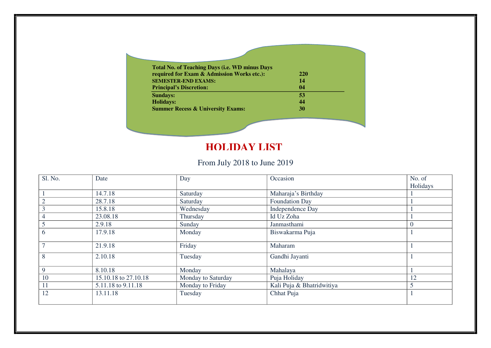| <b>Total No. of Teaching Days (i.e. WD minus Days</b> |            |  |
|-------------------------------------------------------|------------|--|
| required for Exam & Admission Works etc.):            | <b>220</b> |  |
| <b>SEMESTER-END EXAMS:</b>                            | 14         |  |
| <b>Principal's Discretion:</b>                        | 04         |  |
| <b>Sundays:</b>                                       | 53         |  |
| <b>Holidays:</b>                                      | 44         |  |
| <b>Summer Recess &amp; University Exams:</b>          | 30         |  |

### **HOLIDAY LIST**

### From July 2018 to June 2019

| Sl. No.     | Date                 | Day                | Occasion                  | No. of   |
|-------------|----------------------|--------------------|---------------------------|----------|
|             |                      |                    |                           | Holidays |
|             | 14.7.18              | Saturday           | Maharaja's Birthday       |          |
|             | 28.7.18              | Saturday           | Foundation Day            |          |
|             | 15.8.18              | Wednesday          | Independence Day          |          |
| 4           | 23.08.18             | Thursday           | Id Uz Zoha                |          |
|             | 2.9.18               | Sunday             | Janmasthami               |          |
| 6           | 17.9.18              | Monday             | Biswakarma Puja           |          |
|             | 21.9.18              | Friday             | Maharam                   |          |
| 8           | 2.10.18              | Tuesday            | Gandhi Jayanti            |          |
| $\mathbf Q$ | 8.10.18              | Monday             | Mahalaya                  |          |
| 10          | 15.10.18 to 27.10.18 | Monday to Saturday | Puja Holiday              | 12       |
| 11          | 5.11.18 to 9.11.18   | Monday to Friday   | Kali Puja & Bhatridwitiya |          |
| 12          | 13.11.18             | Tuesday            | Chhat Puja                |          |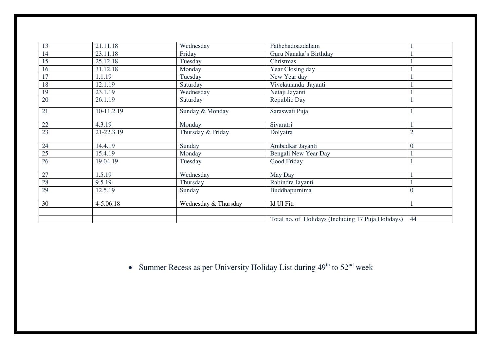| 13     | 21.11.18   | Wednesday            | Fathehadoazdaham                                   |                |
|--------|------------|----------------------|----------------------------------------------------|----------------|
| 14     | 23.11.18   | Friday               | Guru Nanaka's Birthday                             |                |
| 15     | 25.12.18   | Tuesday              | Christmas                                          |                |
| 16     | 31.12.18   | Monday               | Year Closing day                                   |                |
| 17     | 1.1.19     | Tuesday              | New Year day                                       |                |
| 18     | 12.1.19    | Saturday             | Vivekananda Jayanti                                |                |
| 19     | 23.1.19    | Wednesday            | Netaji Jayanti                                     |                |
| 20     | 26.1.19    | Saturday             | Republic Day                                       |                |
| 21     | 10-11.2.19 | Sunday & Monday      | Saraswati Puja                                     |                |
| $22\,$ | 4.3.19     | Monday               | Sivaratri                                          |                |
| 23     | 21-22.3.19 | Thursday & Friday    | Dolyatra                                           | $\overline{2}$ |
| 24     | 14.4.19    | Sunday               | Ambedkar Jayanti                                   | $\theta$       |
| 25     | 15.4.19    | Monday               | Bengali New Year Day                               |                |
| 26     | 19.04.19   | Tuesday              | Good Friday                                        |                |
| 27     | 1.5.19     | Wednesday            | May Day                                            |                |
| 28     | 9.5.19     | Thursday             | Rabindra Jayanti                                   |                |
| 29     | 12.5.19    | Sunday               | Buddhapurnima                                      | $\overline{0}$ |
| 30     | 4-5.06.18  | Wednesday & Thursday | Id Ul Fitr                                         |                |
|        |            |                      | Total no. of Holidays (Including 17 Puja Holidays) | 44             |

• Summer Recess as per University Holiday List during  $49^{th}$  to  $52^{nd}$  week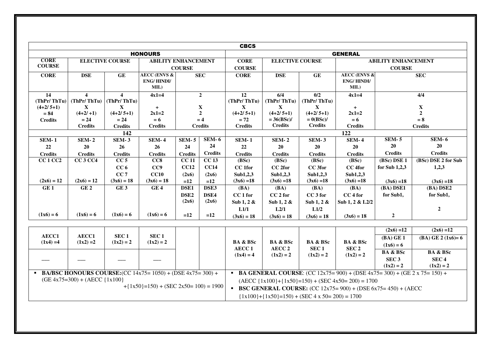|                                         | <b>CBCS</b>                                                                                                                                      |                                                    |                                                      |                                   |                              |                                       |                                                       |                                                  |                                                                                                                                                                                                            |                                                        |                                                        |
|-----------------------------------------|--------------------------------------------------------------------------------------------------------------------------------------------------|----------------------------------------------------|------------------------------------------------------|-----------------------------------|------------------------------|---------------------------------------|-------------------------------------------------------|--------------------------------------------------|------------------------------------------------------------------------------------------------------------------------------------------------------------------------------------------------------------|--------------------------------------------------------|--------------------------------------------------------|
| <b>HONOURS</b>                          |                                                                                                                                                  |                                                    |                                                      |                                   |                              | <b>GENERAL</b>                        |                                                       |                                                  |                                                                                                                                                                                                            |                                                        |                                                        |
| <b>CORE</b><br><b>COURSE</b>            | <b>ELECTIVE COURSE</b><br><b>ABILITY ENHANCEMENT</b><br><b>CORE</b><br><b>ELECTIVE COURSE</b><br><b>COURSE</b><br><b>COURSE</b>                  |                                                    |                                                      |                                   |                              |                                       |                                                       |                                                  |                                                                                                                                                                                                            | <b>ABILITY ENHANCEMENT</b><br><b>COURSE</b>            |                                                        |
| <b>CORE</b>                             | <b>DSE</b>                                                                                                                                       | GE                                                 | <b>AECC (ENVS &amp;</b><br><b>ENG/HINDI/</b><br>MIL) |                                   | <b>SEC</b>                   | <b>CORE</b>                           | <b>DSE</b>                                            | $\mathbf{GE}$                                    | <b>AECC (ENVS &amp;</b><br><b>ENG/HINDI/</b><br>MIL)                                                                                                                                                       |                                                        | <b>SEC</b>                                             |
| 14<br>(ThPr/ThTu)                       | $\overline{\mathbf{4}}$<br>(ThPr/ThTu)                                                                                                           | $\overline{\mathbf{4}}$<br>(ThPr/ThTu)             | $4x1=4$                                              |                                   | $\mathbf{2}$                 | $\overline{12}$<br>(ThPr/ThTu)        | 6/4<br>(ThPr/ThTu)                                    | 0/2<br>(ThPr/ThTu)                               | $4x1=4$                                                                                                                                                                                                    |                                                        | 4/4                                                    |
| $(4+2/5+1)$<br>$= 84$<br><b>Credits</b> | $\mathbf X$<br>$(4+2/1)$<br>$= 24$                                                                                                               | X<br>$(4+2/5+1)$<br>$= 24$                         | $+$<br>$2x1=2$<br>$= 6$                              |                                   | X<br>$\overline{2}$<br>$= 4$ | $\mathbf{X}$<br>$(4+2/5+1)$<br>$= 72$ | $\mathbf X$<br>$(4+2/5+1)$<br>$= 36(BSc)$ /           | $\mathbf{X}$<br>$(4+2/5+1)$<br>$= 0(BSc)$ /      | $+$<br>$2x1=2$<br>$= 6$                                                                                                                                                                                    |                                                        | $\mathbf X$<br>$\overline{2}$<br>$= 8$                 |
|                                         | <b>Credits</b>                                                                                                                                   | <b>Credits</b>                                     | <b>Credits</b>                                       |                                   | <b>Credits</b>               | <b>Credits</b>                        | <b>Credits</b>                                        | <b>Credits</b>                                   | <b>Credits</b>                                                                                                                                                                                             |                                                        | <b>Credits</b>                                         |
|                                         |                                                                                                                                                  | 142                                                |                                                      |                                   |                              |                                       |                                                       |                                                  | 122                                                                                                                                                                                                        |                                                        |                                                        |
| <b>SEM-1</b><br>22                      | <b>SEM-2</b><br>20                                                                                                                               | <b>SEM-3</b><br>26                                 | <b>SEM-4</b><br>26                                   | <b>SEM-5</b><br>24                | $SEM-6$<br>24                | <b>SEM-1</b><br>22                    | <b>SEM-2</b><br>20                                    | <b>SEM-3</b><br>20                               | <b>SEM-4</b><br>20                                                                                                                                                                                         | $SEM-5$<br>20                                          | $SEM - 6$<br>20                                        |
| <b>Credits</b>                          | <b>Credits</b>                                                                                                                                   | <b>Credits</b>                                     | <b>Credits</b>                                       | <b>Credits</b>                    | <b>Credits</b>               | <b>Credits</b>                        | <b>Credits</b>                                        | <b>Credits</b>                                   | <b>Credits</b>                                                                                                                                                                                             | <b>Credits</b>                                         | <b>Credits</b>                                         |
| <b>CC1 CC2</b>                          | <b>CC3 CC4</b>                                                                                                                                   | CC <sub>5</sub>                                    | CC8                                                  | <b>CC 11</b>                      | CC <sub>13</sub>             | (BSc)                                 | (BSc)                                                 | (BSc)                                            | (BSc)                                                                                                                                                                                                      | (BSc) DSE 1                                            | (BSc) DSE 2 for Sub                                    |
| $(2x6) = 12$                            | $(2x6) = 12$                                                                                                                                     | CC <sub>6</sub><br>CC <sub>7</sub><br>$(3x6) = 18$ | CC9<br>CC10<br>$(3x6) = 18$                          | <b>CC12</b><br>(2x6)<br>$=12$     | CC14<br>(2x6)<br>$=12$       | CC 1for<br>Sub1,2,3<br>$(3x6) = 18$   | CC 2for<br>Sub1,2,3<br>$(3x6) = 18$                   | CC 3for<br>Sub1,2,3<br>$(3x6) = 18$              | CC 4for<br>Sub1,2,3<br>$(3x6) = 18$                                                                                                                                                                        | for Sub $1,2,3$<br>$(3x6) = 18$                        | 1,2,3<br>$(3x6) = 18$                                  |
| GE1                                     | GE <sub>2</sub>                                                                                                                                  | GE <sub>3</sub>                                    | GE4                                                  | DSE1<br>DSE <sub>2</sub><br>(2x6) | DSE3<br>DSE4<br>(2x6)        | (BA)<br>CC 1 for<br>Sub 1, 2 $\&$     | <b>(BA)</b><br>CC <sub>2</sub> for<br>Sub $1, 2 \&$   | <b>(BA)</b><br>CC <sub>3</sub> for<br>Sub 1, 2 & | (BA)<br>CC 4 for<br>Sub 1, 2 & L2/2                                                                                                                                                                        | (BA) DSE1<br>for Sub1,                                 | (BA) DSE2<br>for Sub1,                                 |
| $(1x6) = 6$                             | $(1x6) = 6$                                                                                                                                      | $(1x6) = 6$                                        | $(1x6) = 6$                                          | $=12$                             | $=12$                        | L1/1<br>$(3x6) = 18$                  | L2/1<br>$(3x6) = 18$                                  | L1/2<br>$(3x6) = 18$                             | $(3x6) = 18$                                                                                                                                                                                               | $\overline{2}$                                         | $\overline{2}$                                         |
|                                         |                                                                                                                                                  |                                                    |                                                      |                                   |                              |                                       |                                                       |                                                  |                                                                                                                                                                                                            | $(2x6) = 12$                                           | $(2x6) = 12$                                           |
| AECC1<br>$(1x4) = 4$                    | AECC1<br>$(1x2) = 2$                                                                                                                             | SEC <sub>1</sub><br>$(1x2) = 2$                    | SEC <sub>1</sub><br>$(1x2) = 2$                      |                                   |                              | <b>BA &amp; BSc</b><br><b>AECC1</b>   | <b>BA &amp; BSc</b><br>AECC <sub>2</sub>              | <b>BA &amp; BSc</b><br>SEC <sub>1</sub>          | <b>BA &amp; BSc</b><br>SEC <sub>2</sub>                                                                                                                                                                    | $(BA)$ GE 1<br>$(1x6) = 6$                             | $(BA) GE 2 (1x6)=6$                                    |
|                                         |                                                                                                                                                  |                                                    |                                                      |                                   |                              | $(1x4) = 4$                           | $(1x2) = 2$                                           | $(1x2) = 2$                                      | $(1x2) = 2$                                                                                                                                                                                                | <b>BA &amp; BSc</b><br>SEC <sub>3</sub><br>$(1x2) = 2$ | <b>BA &amp; BSc</b><br>SEC <sub>4</sub><br>$(1x2) = 2$ |
|                                         | • BA/BSC HONOURS COURSE: $(CC 14x75 = 1050) + (DSE 4x75 = 300) +$<br>$(GE 4x75=300) + (AECC {1x100}$<br>$+{1x50}$ =150) + (SEC 2x50= 100) = 1900 |                                                    |                                                      |                                   |                              |                                       | ${1x100}$ + ${1x50}$ =150) + (SEC 4 x 50= 200) = 1700 |                                                  | • BA GENERAL COURSE: (CC 12x75= 900) + (DSE 4x75= 300) + (GE 2 x 75= 150) +<br>$(AECC {1x100}+{1x50}=150) + (SEC 4x50=200) = 1700$<br>• BSC GENERAL COURSE: $(CC 12x75 = 900) + (DSE 6x75 = 450) + (AECC)$ |                                                        |                                                        |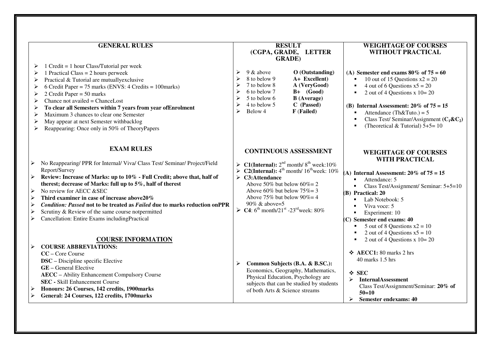|                                      | <b>GENERAL RULES</b>                                                                                                                                                                                                                                                                                                                                                                                                                                                                                                            |   |                                                                                                                                                                                                                                                          | <b>RESULT</b><br>(CGPA, GRADE, LETTER<br><b>GRADE</b> )                                                                                                 | <b>WEIGHTAGE OF COURSES</b><br><b>WITHOUT PRACTICAL</b>                                                                                                                                                                                                                                                                                                                               |
|--------------------------------------|---------------------------------------------------------------------------------------------------------------------------------------------------------------------------------------------------------------------------------------------------------------------------------------------------------------------------------------------------------------------------------------------------------------------------------------------------------------------------------------------------------------------------------|---|----------------------------------------------------------------------------------------------------------------------------------------------------------------------------------------------------------------------------------------------------------|---------------------------------------------------------------------------------------------------------------------------------------------------------|---------------------------------------------------------------------------------------------------------------------------------------------------------------------------------------------------------------------------------------------------------------------------------------------------------------------------------------------------------------------------------------|
| ➤<br>➤<br>➤<br>➤<br>➤<br>➤<br>⋗<br>➤ | $1$ Credit = $1$ hour Class/Tutorial per week<br>1 Practical Class = $2$ hours perweek<br>Practical & Tutorial are mutually exclusive<br>6 Credit Paper = 75 marks (ENVS: 4 Credits = 100marks)<br>2 Credit Paper = $50$ marks<br>Chance not availed $=$ Chance Lost<br>To clear all Semesters within 7 years from year of Enrolment<br>Maximum 3 chances to clear one Semester<br>May appear at next Semester withbacklog<br>Reappearing: Once only in 50% of TheoryPapers                                                     | ⋗ | 9 & above<br>8 to below 9<br>7 to below 8<br>6 to below 7<br>5 to below 6<br>4 to below 5<br>Below 4                                                                                                                                                     | $O$ (Outstanding)<br>A+ Excellent)<br>A (VeryGood)<br>$B+$ (Good)<br><b>B</b> (Average)<br>C (Passed)<br>F (Failed)                                     | (A) Semester end exams $80\%$ of $75 = 60$<br>10 out of 15 Questions $x^2 = 20$<br>4 out of 6 Questions $x5 = 20$<br>2 out of 4 Questions x $10=20$<br>(B) Internal Assessment: $20\%$ of $75 = 15$<br>Attendance (Th&Tuto.) = $5$<br>Class Test/Seminar/Assignment $(C_1 \& C_2)$<br>(Theoretical & Tutorial) $5+5=10$                                                               |
|                                      | <b>EXAM RULES</b>                                                                                                                                                                                                                                                                                                                                                                                                                                                                                                               |   |                                                                                                                                                                                                                                                          | <b>CONTINUOUS ASSESSMENT</b>                                                                                                                            | <b>WEIGHTAGE OF COURSES</b>                                                                                                                                                                                                                                                                                                                                                           |
| ➤<br>≻<br>⋗<br>➤<br>≻<br>➤<br>⋗      | No Reappearing/ PPR for Internal/ Viva/ Class Test/ Seminar/ Project/Field<br>Report/Survey<br>Review: Increase of Marks: up to 10% - Full Credit; above that, half of<br>therest; decrease of Marks: full up to 5%, half of therest<br>No review for AECC &SEC<br>Third examiner in case of increase above20%<br>Condition: Passed not to be treated as Failed due to marks reduction onPPR<br>Scrutiny & Review of the same course notpermitted<br>Cancellation: Entire Exams includingPractical<br><b>COURSE INFORMATION</b> |   | $\triangleright$ C3:Attendance<br>Above 50% but below $60\% = 2$<br>Above 60% but below $75\% = 3$<br>Above 75% but below $90\% = 4$<br>90% & above=5<br>$\triangleright$ <b>C4</b> : 6 <sup>th</sup> month/21 <sup>st</sup> -23 <sup>rd</sup> week: 80% | > C1(Internal): $2nd$ month/ $8th$ week:10%<br>> C2(Internal): $4th$ month/ $16th$ week: 10%                                                            | <b>WITH PRACTICAL</b><br>(A) Internal Assessment: $20\%$ of $75 = 15$<br>Attendance: 5<br>Class Test/Assignment/ Seminar: 5+5=10<br>(B) Practical: 20<br>Lab Notebook: 5<br>Viva voce: 5<br>$\blacksquare$<br>Experiment: 10<br>$\blacksquare$<br>$(C)$ Semester end exams: 40<br>5 out of 8 Questions $x^2 = 10$<br>2 out of 4 Questions $x5 = 10$<br>2 out of 4 Questions x $10=20$ |
|                                      | <b>COURSE ABBREVIATIONS:</b><br>CC - Core Course<br><b>DSC</b> – Discipline specific Elective<br><b>GE</b> – General Elective<br><b>AECC</b> - Ability Enhancement Compulsory Course<br><b>SEC</b> - Skill Enhancement Course<br>Honours: 26 Courses, 142 credits, 1900marks<br>General: 24 Courses, 122 credits, 1700marks                                                                                                                                                                                                     |   | of both Arts & Science streams                                                                                                                                                                                                                           | Common Subjects (B.A. & B.SC.):<br>Economics, Geography, Mathematics,<br>Physical Education, Psychology are<br>subjects that can be studied by students | $\div$ AECC1: 80 marks 2 hrs<br>$40$ marks $1.5$ hrs<br>$\div$ SEC<br><b>InternalAssessment</b><br>➤<br>Class Test/Assignment/Seminar: 20% of<br>$50=10$<br><b>Semester endexams: 40</b><br>➤                                                                                                                                                                                         |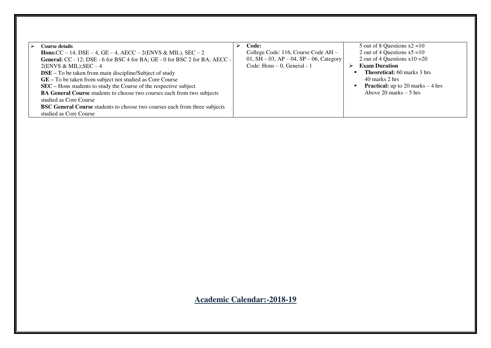**Academic Calendar:-2018-19**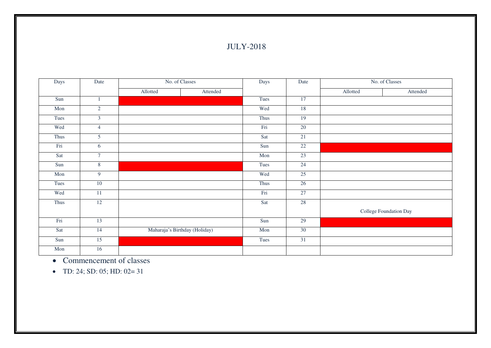#### JULY-2018

| Days | Date           | No. of Classes                | Days | Date   |          | No. of Classes         |  |  |
|------|----------------|-------------------------------|------|--------|----------|------------------------|--|--|
|      |                | Allotted<br>Attended          |      |        | Allotted | Attended               |  |  |
| Sun  | 1              |                               | Tues | 17     |          |                        |  |  |
| Mon  | $\overline{2}$ |                               | Wed  | 18     |          |                        |  |  |
| Tues | $\mathfrak{Z}$ |                               | Thus | 19     |          |                        |  |  |
| Wed  | $\overline{4}$ |                               | Fri  | $20\,$ |          |                        |  |  |
| Thus | 5              |                               | Sat  | 21     |          |                        |  |  |
| Fri  | 6              |                               | Sun  | 22     |          |                        |  |  |
| Sat  | $\overline{7}$ |                               | Mon  | 23     |          |                        |  |  |
| Sun  | $8\,$          |                               | Tues | 24     |          |                        |  |  |
| Mon  | 9              |                               | Wed  | 25     |          |                        |  |  |
| Tues | $10\,$         |                               | Thus | 26     |          |                        |  |  |
| Wed  | $11\,$         |                               | Fri  | 27     |          |                        |  |  |
| Thus | 12             |                               | Sat  | 28     |          |                        |  |  |
|      |                |                               |      |        |          | College Foundation Day |  |  |
| Fri  | 13             |                               | Sun  | 29     |          |                        |  |  |
| Sat  | 14             | Maharaja's Birthday (Holiday) | Mon  | $30\,$ |          |                        |  |  |
| Sun  | 15             |                               | Tues | 31     |          |                        |  |  |
| Mon  | 16             |                               |      |        |          |                        |  |  |

• Commencement of classes

 $\bullet$  TD: 24; SD: 05; HD: 02= 31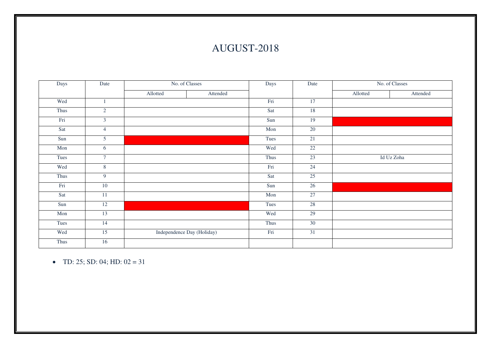## AUGUST-2018

| Days | Date           | No. of Classes             |          | Days | Date |            | No. of Classes |
|------|----------------|----------------------------|----------|------|------|------------|----------------|
|      |                | Allotted                   | Attended |      |      | Allotted   | Attended       |
| Wed  |                |                            |          | Fri  | 17   |            |                |
| Thus | $\overline{2}$ |                            |          | Sat  | 18   |            |                |
| Fri  | $\overline{3}$ |                            |          | Sun  | 19   |            |                |
| Sat  | $\overline{4}$ |                            |          | Mon  | 20   |            |                |
| Sun  | $\overline{5}$ |                            |          | Tues | 21   |            |                |
| Mon  | 6              |                            |          | Wed  | 22   |            |                |
| Tues | $\tau$         |                            |          | Thus | 23   | Id Uz Zoha |                |
| Wed  | 8              |                            |          | Fri  | 24   |            |                |
| Thus | $\overline{9}$ |                            |          | Sat  | 25   |            |                |
| Fri  | 10             |                            |          | Sun  | 26   |            |                |
| Sat  | $11\,$         |                            |          | Mon  | 27   |            |                |
| Sun  | $12\,$         |                            |          | Tues | 28   |            |                |
| Mon  | 13             |                            |          | Wed  | 29   |            |                |
| Tues | 14             |                            |          | Thus | 30   |            |                |
| Wed  | 15             | Independence Day (Holiday) |          | Fri  | 31   |            |                |
| Thus | 16             |                            |          |      |      |            |                |

• TD: 25; SD: 04; HD:  $02 = 31$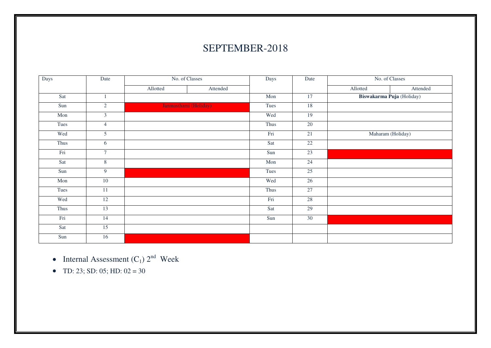## SEPTEMBER-2018

| Days | Date            | No. of Classes | Days                  | Date | No. of Classes  |          |                           |
|------|-----------------|----------------|-----------------------|------|-----------------|----------|---------------------------|
|      |                 | Allotted       | Attended              |      |                 | Allotted | Attended                  |
| Sat  | $\mathbf{1}$    |                |                       | Mon  | 17              |          | Biswakarma Puja (Holiday) |
| Sun  | $\sqrt{2}$      |                | Janmasthami (Holiday) | Tues | 18              |          |                           |
| Mon  | $\mathfrak{Z}$  |                |                       | Wed  | 19              |          |                           |
| Tues | $\overline{4}$  |                |                       | Thus | 20              |          |                           |
| Wed  | 5 <sup>5</sup>  |                |                       | Fri  | 21              |          | Maharam (Holiday)         |
| Thus | 6               |                |                       | Sat  | 22              |          |                           |
| Fri  | $\tau$          |                |                       | Sun  | 23              |          |                           |
| Sat  | $8\,$           |                |                       | Mon  | $\overline{24}$ |          |                           |
| Sun  | $\overline{9}$  |                |                       | Tues | 25              |          |                           |
| Mon  | $\overline{10}$ |                |                       | Wed  | $\overline{26}$ |          |                           |
| Tues | $\overline{11}$ |                |                       | Thus | 27              |          |                           |
| Wed  | 12              |                |                       | Fri  | 28              |          |                           |
| Thus | 13              |                |                       | Sat  | 29              |          |                           |
| Fri  | 14              |                |                       | Sun  | 30              |          |                           |
| Sat  | $\overline{15}$ |                |                       |      |                 |          |                           |
| Sun  | 16              |                |                       |      |                 |          |                           |

- Internal Assessment  $(C_1)$   $2^{nd}$  Week
- TD: 23; SD: 05; HD:  $02 = 30$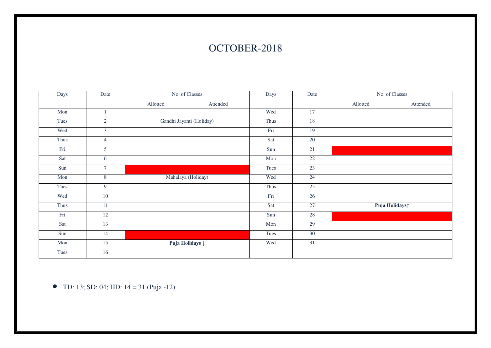### OCTOBER-2018

| Days | Date            | No. of Classes             |                          | Days | Date            |          | No. of Classes             |
|------|-----------------|----------------------------|--------------------------|------|-----------------|----------|----------------------------|
|      |                 | Allotted                   | Attended                 |      |                 | Allotted | Attended                   |
| Mon  |                 |                            |                          | Wed  | 17              |          |                            |
| Tues | $\overline{2}$  |                            | Gandhi Jayanti (Holiday) | Thus | 18              |          |                            |
| Wed  | $\mathfrak{Z}$  |                            |                          | Fri  | $\overline{19}$ |          |                            |
| Thus | $\overline{4}$  |                            |                          | Sat  | 20              |          |                            |
| Fri  | $\overline{5}$  |                            |                          | Sun  | 21              |          |                            |
| Sat  | 6               |                            |                          | Mon  | $22\,$          |          |                            |
| Sun  | $7\phantom{.0}$ |                            |                          | Tues | 23              |          |                            |
| Mon  | $\overline{8}$  | Mahalaya (Holiday)         |                          | Wed  | $\overline{24}$ |          |                            |
| Tues | $\overline{9}$  |                            |                          | Thus | 25              |          |                            |
| Wed  | $\overline{10}$ |                            |                          | Fri  | 26              |          |                            |
| Thus | $\overline{11}$ |                            |                          | Sat  | 27              |          | Puja Holidays <sup>1</sup> |
| Fri  | 12              |                            |                          | Sun  | 28              |          |                            |
| Sat  | 13              |                            |                          | Mon  | 29              |          |                            |
| Sun  | 14              |                            |                          | Tues | 30              |          |                            |
| Mon  | 15              | Puja Holidays $\downarrow$ |                          | Wed  | $\overline{31}$ |          |                            |
| Tues | 16              |                            |                          |      |                 |          |                            |

 $\bullet$  TD: 13; SD: 04; HD: 14 = 31 (Puja -12)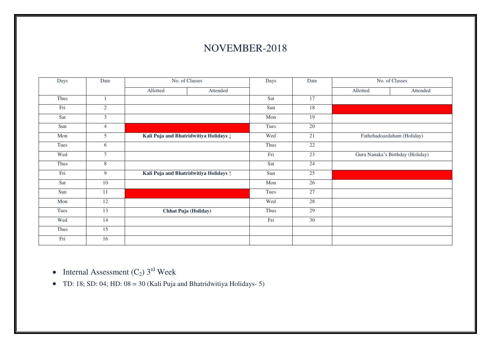#### NOVEMBER-2018

| Days | Date            | No. of Classes                                    |          | Days | Date            | No. of Classes |                                  |
|------|-----------------|---------------------------------------------------|----------|------|-----------------|----------------|----------------------------------|
|      |                 | Allotted                                          | Attended |      |                 | Allotted       | Attended                         |
| Thus |                 |                                                   |          | Sat  | 17              |                |                                  |
| Fri  | $\overline{2}$  |                                                   |          | Sun  | 18              |                |                                  |
| Sat  | $\overline{3}$  |                                                   |          | Mon  | 19              |                |                                  |
| Sun  | $\overline{4}$  |                                                   |          | Tues | 20              |                |                                  |
| Mon  | 5               | Kali Puja and Bhatridwitiya Holidays $\downarrow$ |          | Wed  | 21              |                | Fathehadoazdaham (Holiday)       |
| Tues | 6               |                                                   |          | Thus | 22              |                |                                  |
| Wed  | $7\phantom{.0}$ |                                                   |          | Fri  | 23              |                | Guru Nanaka's Birthday (Holiday) |
| Thus | 8               |                                                   |          | Sat  | $\overline{24}$ |                |                                  |
| Fri  | 9               | Kali Puja and Bhatridwitiya Holidays ^            |          | Sun  | $\overline{25}$ |                |                                  |
| Sat  | 10              |                                                   |          | Mon  | 26              |                |                                  |
| Sun  | 11              |                                                   |          | Tues | $\overline{27}$ |                |                                  |
| Mon  | 12              |                                                   |          | Wed  | 28              |                |                                  |
| Tues | 13              | Chhat Puja (Holiday)                              |          | Thus | 29              |                |                                  |
| Wed  | 14              |                                                   |          | Fri  | 30              |                |                                  |
| Thus | $\overline{15}$ |                                                   |          |      |                 |                |                                  |
| Fri  | 16              |                                                   |          |      |                 |                |                                  |

- Internal Assessment  $(C_2)$  3<sup>rd</sup> Week
- TD: 18; SD: 04; HD:  $08 = 30$  (Kali Puja and Bhatridwitiya Holidays- 5)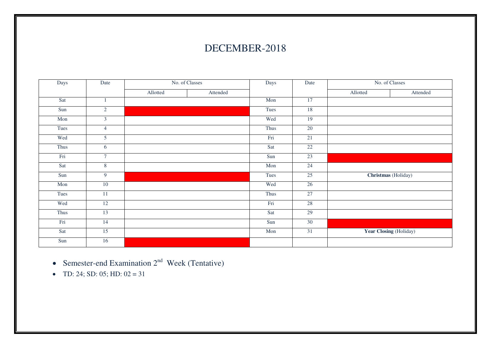### DECEMBER-2018

| Days | Date            | No. of Classes |          | Days | Date |          | No. of Classes         |
|------|-----------------|----------------|----------|------|------|----------|------------------------|
|      |                 | Allotted       | Attended |      |      | Allotted | Attended               |
| Sat  | $\,1$           |                |          | Mon  | 17   |          |                        |
| Sun  | $\overline{2}$  |                |          | Tues | 18   |          |                        |
| Mon  | $\overline{3}$  |                |          | Wed  | 19   |          |                        |
| Tues | $\overline{4}$  |                |          | Thus | 20   |          |                        |
| Wed  | $\overline{5}$  |                |          | Fri  | 21   |          |                        |
| Thus | 6               |                |          | Sat  | 22   |          |                        |
| Fri  | $\overline{7}$  |                |          | Sun  | 23   |          |                        |
| Sat  | $8\,$           |                |          | Mon  | 24   |          |                        |
| Sun  | $\overline{9}$  |                |          | Tues | 25   |          | Christmas (Holiday)    |
| Mon  | 10              |                |          | Wed  | 26   |          |                        |
| Tues | 11              |                |          | Thus | 27   |          |                        |
| Wed  | 12              |                |          | Fri  | 28   |          |                        |
| Thus | 13              |                |          | Sat  | 29   |          |                        |
| Fri  | $\overline{14}$ |                |          | Sun  | 30   |          |                        |
| Sat  | 15              |                |          | Mon  | 31   |          | Year Closing (Holiday) |
| Sun  | 16              |                |          |      |      |          |                        |

- Semester-end Examination  $2<sup>nd</sup>$  Week (Tentative)
- TD: 24; SD: 05; HD:  $02 = 31$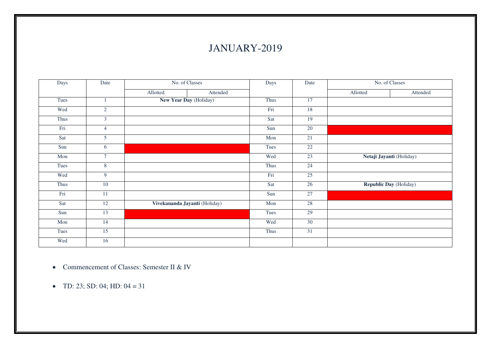## JANUARY-2019

| Days | No. of Classes<br>Date |                               |          | Days | Date            | No. of Classes           |                               |
|------|------------------------|-------------------------------|----------|------|-----------------|--------------------------|-------------------------------|
|      |                        | Allotted                      | Attended |      |                 | Allotted                 | Attended                      |
| Tues | $\mathbf{1}$           | New Year Day (Holiday)        |          | Thus | $\overline{17}$ |                          |                               |
| Wed  | $\overline{2}$         |                               |          | Fri  | 18              |                          |                               |
| Thus | $\overline{3}$         |                               |          | Sat  | $\overline{19}$ |                          |                               |
| Fri  | $\overline{4}$         |                               |          | Sun  | $\overline{20}$ |                          |                               |
| Sat  | $\overline{5}$         |                               |          | Mon  | 21              |                          |                               |
| Sun  | 6                      |                               |          | Tues | 22              |                          |                               |
| Mon  | $\tau$                 |                               |          | Wed  | 23              | Netaji Jayanti (Holiday) |                               |
| Tues | $8\phantom{.}$         |                               |          | Thus | 24              |                          |                               |
| Wed  | $\overline{9}$         |                               |          | Fri  | 25              |                          |                               |
| Thus | 10                     |                               |          | Sat  | 26              |                          | <b>Republic Day</b> (Holiday) |
| Fri  | 11                     |                               |          | Sun  | 27              |                          |                               |
| Sat  | 12                     | Vivekananda Jayanti (Holiday) |          | Mon  | 28              |                          |                               |
| Sun  | 13                     |                               |          | Tues | 29              |                          |                               |
| Mon  | $\overline{14}$        |                               |          | Wed  | 30              |                          |                               |
| Tues | $\overline{15}$        |                               |          | Thus | $\overline{31}$ |                          |                               |
| Wed  | 16                     |                               |          |      |                 |                          |                               |

- Commencement of Classes: Semester II & IV
- TD: 23; SD: 04; HD:  $04 = 31$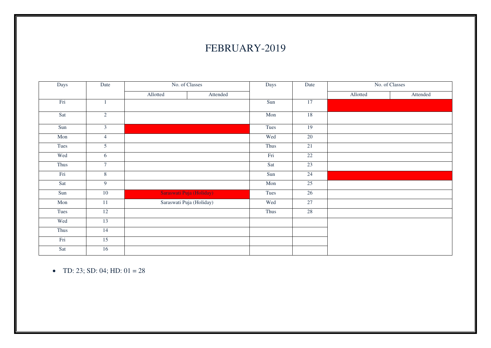### FEBRUARY-2019

| Days | Date            | No. of Classes           |          | Days | Date            | No. of Classes |          |  |
|------|-----------------|--------------------------|----------|------|-----------------|----------------|----------|--|
|      |                 | Allotted                 | Attended |      |                 | Allotted       | Attended |  |
| Fri  | $\mathbf{1}$    |                          |          | Sun  | $\overline{17}$ |                |          |  |
| Sat  | $\overline{2}$  |                          |          | Mon  | 18              |                |          |  |
| Sun  | $\overline{3}$  |                          |          | Tues | 19              |                |          |  |
| Mon  | $\overline{4}$  |                          |          | Wed  | 20              |                |          |  |
| Tues | 5               |                          |          | Thus | 21              |                |          |  |
| Wed  | 6               |                          |          | Fri  | 22              |                |          |  |
| Thus | $\overline{7}$  |                          |          | Sat  | 23              |                |          |  |
| Fri  | $\, 8$          |                          |          | Sun  | 24              |                |          |  |
| Sat  | 9               |                          |          | Mon  | 25              |                |          |  |
| Sun  | $\overline{10}$ | Saraswati Puja (Holiday) |          | Tues | 26              |                |          |  |
| Mon  | $\overline{11}$ | Saraswati Puja (Holiday) |          | Wed  | 27              |                |          |  |
| Tues | $\overline{12}$ |                          |          | Thus | 28              |                |          |  |
| Wed  | 13              |                          |          |      |                 |                |          |  |
| Thus | 14              |                          |          |      |                 |                |          |  |
| Fri  | 15              |                          |          |      |                 |                |          |  |
| Sat  | 16              |                          |          |      |                 |                |          |  |

• TD: 23; SD: 04; HD:  $01 = 28$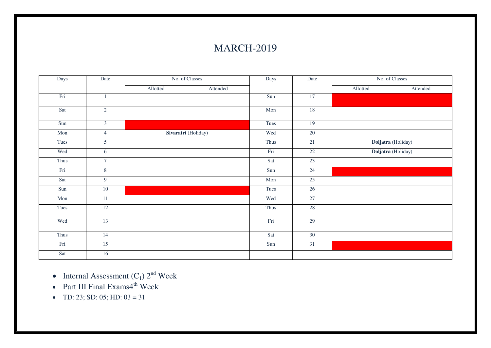### MARCH-2019

| Days<br>Date |                 | No. of Classes |                     | Days | Date | No. of Classes |                    |  |
|--------------|-----------------|----------------|---------------------|------|------|----------------|--------------------|--|
|              |                 | Allotted       | Attended            |      |      | Allotted       | Attended           |  |
| Fri          | $\mathbf{1}$    |                |                     | Sun  | 17   |                |                    |  |
| Sat          | $\overline{2}$  |                |                     | Mon  | 18   |                |                    |  |
| Sun          | $\overline{3}$  |                |                     | Tues | 19   |                |                    |  |
| Mon          | $\overline{4}$  |                | Sivaratri (Holiday) | Wed  | 20   |                |                    |  |
| Tues         | $\overline{5}$  |                |                     | Thus | 21   |                | Doljatra (Holiday) |  |
| Wed          | 6               |                |                     | Fri  | 22   |                | Doljatra (Holiday) |  |
| Thus         | $\tau$          |                |                     | Sat  | 23   |                |                    |  |
| Fri          | $\overline{8}$  |                |                     | Sun  | 24   |                |                    |  |
| Sat          | 9               |                |                     | Mon  | 25   |                |                    |  |
| Sun          | $10\,$          |                |                     | Tues | 26   |                |                    |  |
| Mon          | $\overline{11}$ |                |                     | Wed  | 27   |                |                    |  |
| Tues         | 12              |                |                     | Thus | 28   |                |                    |  |
| Wed          | 13              |                |                     | Fri  | 29   |                |                    |  |
| Thus         | 14              |                |                     | Sat  | 30   |                |                    |  |
| Fri          | 15              |                |                     | Sun  | 31   |                |                    |  |
| Sat          | 16              |                |                     |      |      |                |                    |  |

• Internal Assessment  $(C_1)$   $2^{nd}$  Week

- Part III Final Exams $4^{\text{th}}$  Week
- TD: 23; SD: 05; HD:  $03 = 31$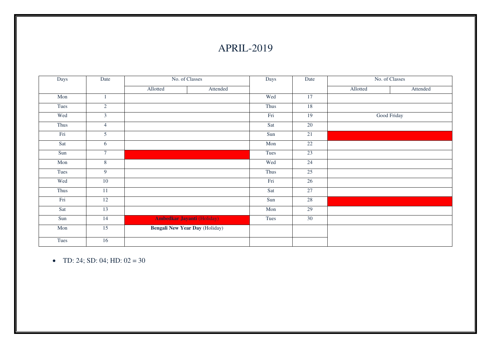### APRIL-2019

| Days | Date            | No. of Classes                    |          | Days      | Date | No. of Classes |             |
|------|-----------------|-----------------------------------|----------|-----------|------|----------------|-------------|
|      |                 | Allotted                          | Attended |           |      | Allotted       | Attended    |
| Mon  |                 |                                   |          | Wed       | 17   |                |             |
| Tues | $\sqrt{2}$      |                                   |          | Thus      | 18   |                |             |
| Wed  | $\mathfrak{Z}$  |                                   |          | Fri       | 19   |                | Good Friday |
| Thus | $\overline{4}$  |                                   |          | Sat       | 20   |                |             |
| Fri  | $5\overline{)}$ |                                   |          | Sun       | 21   |                |             |
| Sat  | 6               |                                   |          | Mon       | 22   |                |             |
| Sun  | $\overline{7}$  |                                   |          | Tues      | 23   |                |             |
| Mon  | $8\overline{8}$ |                                   |          | Wed       | 24   |                |             |
| Tues | $\overline{9}$  |                                   |          | Thus      | 25   |                |             |
| Wed  | $10\,$          |                                   |          | $\rm Fri$ | 26   |                |             |
| Thus | 11              |                                   |          | Sat       | 27   |                |             |
| Fri  | 12              |                                   |          | Sun       | 28   |                |             |
| Sat  | 13              |                                   |          | Mon       | 29   |                |             |
| Sun  | 14              | <b>Ambedkar Jayanti (Holiday)</b> |          | Tues      | 30   |                |             |
| Mon  | 15              | Bengali New Year Day (Holiday)    |          |           |      |                |             |
| Tues | 16              |                                   |          |           |      |                |             |

• TD: 24; SD: 04; HD:  $02 = 30$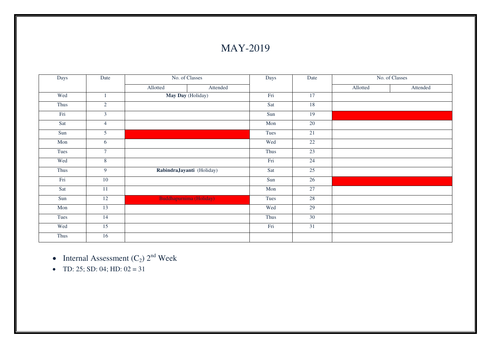### MAY-2019

| Days | No. of Classes<br>Date |          | Days                           | Date |                 | No. of Classes |          |
|------|------------------------|----------|--------------------------------|------|-----------------|----------------|----------|
|      |                        | Allotted | Attended                       |      |                 | Allotted       | Attended |
| Wed  | $\mathbf{1}$           |          | May Day (Holiday)              | Fri  | 17              |                |          |
| Thus | $\overline{2}$         |          |                                | Sat  | 18              |                |          |
| Fri  | $\overline{3}$         |          |                                | Sun  | 19              |                |          |
| Sat  | $\overline{4}$         |          |                                | Mon  | 20              |                |          |
| Sun  | $\overline{5}$         |          |                                | Tues | 21              |                |          |
| Mon  | 6                      |          |                                | Wed  | 22              |                |          |
| Tues | $\overline{7}$         |          |                                | Thus | 23              |                |          |
| Wed  | $\overline{8}$         |          |                                | Fri  | 24              |                |          |
| Thus | $\overline{9}$         |          | RabindraJayanti (Holiday)      | Sat  | 25              |                |          |
| Fri  | $\overline{10}$        |          |                                | Sun  | 26              |                |          |
| Sat  | 11                     |          |                                | Mon  | $\overline{27}$ |                |          |
| Sun  | 12                     |          | <b>Buddhapurnima (Holiday)</b> | Tues | 28              |                |          |
| Mon  | 13                     |          |                                | Wed  | 29              |                |          |
| Tues | 14                     |          |                                | Thus | 30              |                |          |
| Wed  | $\overline{15}$        |          |                                | Fri  | $\overline{31}$ |                |          |
| Thus | 16                     |          |                                |      |                 |                |          |

• Internal Assessment  $(C_2)$   $2^{nd}$  Week

• TD: 25; SD: 04; HD:  $02 = 31$